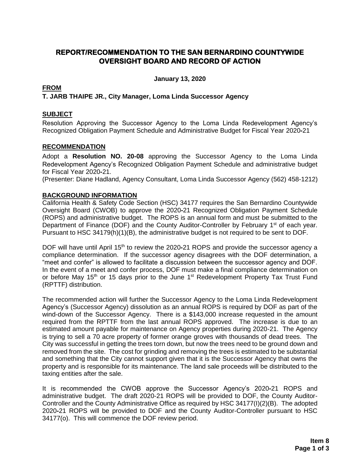### **REPORT/RECOMMENDATION TO THE SAN BERNARDINO COUNTYWIDE OVERSIGHT BOARD AND RECORD OF ACTION**

**January 13, 2020**

#### **FROM**

#### **T. JARB THAIPE JR., City Manager, Loma Linda Successor Agency**

#### **SUBJECT**

Resolution Approving the Successor Agency to the Loma Linda Redevelopment Agency's Recognized Obligation Payment Schedule and Administrative Budget for Fiscal Year 2020**-**21

#### **RECOMMENDATION**

Adopt a **Resolution NO. 20-08** approving the Successor Agency to the Loma Linda Redevelopment Agency's Recognized Obligation Payment Schedule and administrative budget for Fiscal Year 2020**-**21.

(Presenter: Diane Hadland, Agency Consultant, Loma Linda Successor Agency (562) 458-1212)

#### **BACKGROUND INFORMATION**

California Health & Safety Code Section (HSC) 34177 requires the San Bernardino Countywide Oversight Board (CWOB) to approve the 2020**-**21 Recognized Obligation Payment Schedule (ROPS) and administrative budget. The ROPS is an annual form and must be submitted to the Department of Finance (DOF) and the County Auditor-Controller by February 1<sup>st</sup> of each year. Pursuant to HSC 34179(h)(1)(B), the administrative budget is not required to be sent to DOF.

DOF will have until April 15<sup>th</sup> to review the 2020-21 ROPS and provide the successor agency a compliance determination. If the successor agency disagrees with the DOF determination, a "meet and confer" is allowed to facilitate a discussion between the successor agency and DOF. In the event of a meet and confer process, DOF must make a final compliance determination on or before May 15<sup>th</sup> or 15 days prior to the June 1<sup>st</sup> Redevelopment Property Tax Trust Fund (RPTTF) distribution.

The recommended action will further the Successor Agency to the Loma Linda Redevelopment Agency's (Successor Agency) dissolution as an annual ROPS is required by DOF as part of the wind-down of the Successor Agency. There is a \$143,000 increase requested in the amount required from the RPTTF from the last annual ROPS approved. The increase is due to an estimated amount payable for maintenance on Agency properties during 2020-21. The Agency is trying to sell a 70 acre property of former orange groves with thousands of dead trees. The City was successful in getting the trees torn down, but now the trees need to be ground down and removed from the site. The cost for grinding and removing the trees is estimated to be substantial and something that the City cannot support given that it is the Successor Agency that owns the property and is responsible for its maintenance. The land sale proceeds will be distributed to the taxing entities after the sale.

It is recommended the CWOB approve the Successor Agency's 2020**-**21 ROPS and administrative budget. The draft 2020-21 ROPS will be provided to DOF, the County Auditor-Controller and the County Administrative Office as required by HSC 34177(I)(2)(B). The adopted 2020**-**21 ROPS will be provided to DOF and the County Auditor-Controller pursuant to HSC 34177(o). This will commence the DOF review period.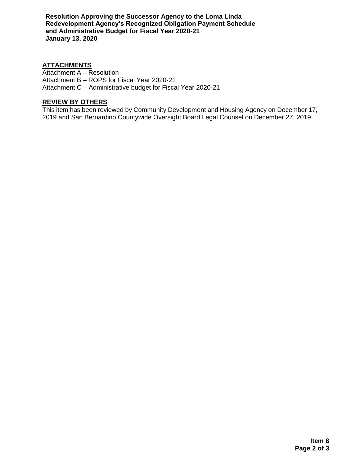**Resolution Approving the Successor Agency to the Loma Linda Redevelopment Agency's Recognized Obligation Payment Schedule and Administrative Budget for Fiscal Year 2020-21 January 13, 2020**

#### **ATTACHMENTS**

Attachment A – Resolution Attachment B – ROPS for Fiscal Year 2020-21 Attachment C – Administrative budget for Fiscal Year 2020-21

#### **REVIEW BY OTHERS**

This item has been reviewed by Community Development and Housing Agency on December 17, 2019 and San Bernardino Countywide Oversight Board Legal Counsel on December 27, 2019.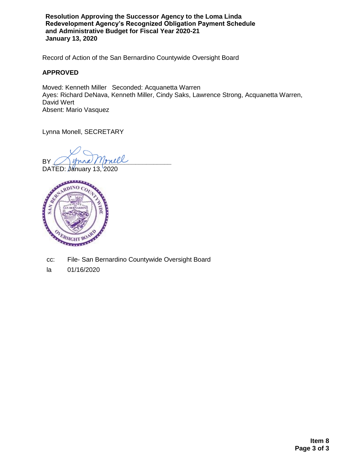**Resolution Approving the Successor Agency to the Loma Linda Redevelopment Agency's Recognized Obligation Payment Schedule and Administrative Budget for Fiscal Year 2020-21 January 13, 2020**

Record of Action of the San Bernardino Countywide Oversight Board

#### **APPROVED**

Moved: Kenneth Miller Seconded: Acquanetta Warren Ayes: Richard DeNava, Kenneth Miller, Cindy Saks, Lawrence Strong, Acquanetta Warren, David Wert Absent: Mario Vasquez

Lynna Monell, SECRETARY

BY ( ) yound Monell

DATED: January 13, 2020



- cc: File- San Bernardino Countywide Oversight Board
- la 01/16/2020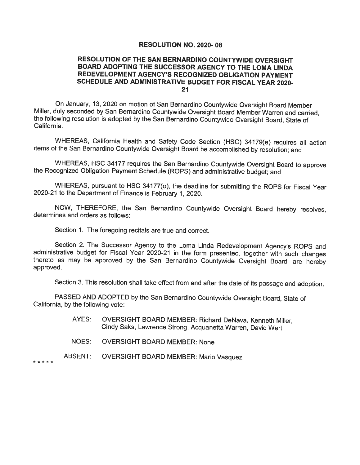#### **RESOLUTION NO. 2020-08**

#### RESOLUTION OF THE SAN BERNARDINO COUNTYWIDE OVERSIGHT BOARD ADOPTING THE SUCCESSOR AGENCY TO THE LOMA LINDA REDEVELOPMENT AGENCY'S RECOGNIZED OBLIGATION PAYMENT SCHEDULE AND ADMINISTRATIVE BUDGET FOR FISCAL YEAR 2020- $21$

On January, 13, 2020 on motion of San Bernardino Countywide Oversight Board Member Miller, duly seconded by San Bernardino Countywide Oversight Board Member Warren and carried. the following resolution is adopted by the San Bernardino Countywide Oversight Board, State of California.

WHEREAS, California Health and Safety Code Section (HSC) 34179(e) requires all action items of the San Bernardino Countywide Oversight Board be accomplished by resolution; and

WHEREAS, HSC 34177 requires the San Bernardino Countywide Oversight Board to approve the Recognized Obligation Payment Schedule (ROPS) and administrative budget; and

WHEREAS, pursuant to HSC 34177(o), the deadline for submitting the ROPS for Fiscal Year 2020-21 to the Department of Finance is February 1, 2020.

NOW, THEREFORE, the San Bernardino Countywide Oversight Board hereby resolves. determines and orders as follows:

Section 1. The foregoing recitals are true and correct.

Section 2. The Successor Agency to the Loma Linda Redevelopment Agency's ROPS and administrative budget for Fiscal Year 2020-21 in the form presented, together with such changes thereto as may be approved by the San Bernardino Countywide Oversight Board, are hereby approved.

Section 3. This resolution shall take effect from and after the date of its passage and adoption.

PASSED AND ADOPTED by the San Bernardino Countywide Oversight Board, State of California, by the following vote:

- AYES: OVERSIGHT BOARD MEMBER: Richard DeNava, Kenneth Miller. Cindy Saks, Lawrence Strong, Acquanetta Warren, David Wert
- NOES: **OVERSIGHT BOARD MEMBER: None**
- **ABSENT: OVERSIGHT BOARD MEMBER: Mario Vasquez**

. . . . .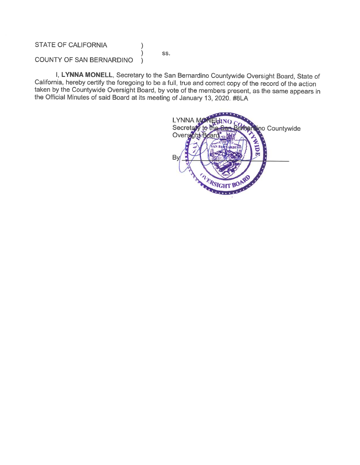#### **STATE OF CALIFORNIA**

SS.

 $\mathcal{E}$  $\mathcal{E}$ 

#### **COUNTY OF SAN BERNARDINO**  $\mathcal{F}$

I, LYNNA MONELL, Secretary to the San Bernardino Countywide Oversight Board, State of California, hereby certify the foregoing to be a full, true and correct copy of the record of the action taken by the Countywide Oversight Board, by vote of the members present, as the same appears in the Official Minutes of said Board at its meeting of January 13, 2020. #8LA

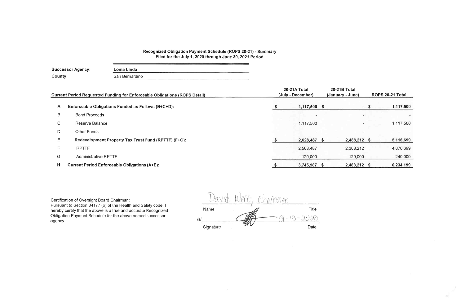# Recognized Obligation Payment Schedule (ROPS 20-21) - Summary<br>Filed for the July 1, 2020 through June 30, 2021 Period

| <b>Successor Agency:</b> | Loma Linda     |  |  |  |  |  |  |
|--------------------------|----------------|--|--|--|--|--|--|
| County:                  | San Bernardino |  |  |  |  |  |  |
|                          |                |  |  |  |  |  |  |

|    | <b>Current Period Requested Funding for Enforceable Obligations (ROPS Detail)</b> | 20-21A Total<br>(July - December) | <b>20-21B Total</b><br>(January - June) | ROPS 20-21 Total |           |
|----|-----------------------------------------------------------------------------------|-----------------------------------|-----------------------------------------|------------------|-----------|
| A  | Enforceable Obligations Funded as Follows (B+C+D):                                | 1,117,500                         |                                         | $-5$             | 1,117,500 |
| B  | <b>Bond Proceeds</b>                                                              |                                   | $\sim$                                  |                  |           |
| C. | <b>Reserve Balance</b>                                                            | 1,117,500                         |                                         |                  | 1,117,500 |
| D  | <b>Other Funds</b>                                                                |                                   |                                         |                  |           |
| Е. | Redevelopment Property Tax Trust Fund (RPTTF) (F+G):                              | 2,628,487 \$                      | 2,488,212 \$                            |                  | 5,116,699 |
| F. | <b>RPTTF</b>                                                                      | 2,508,487                         | 2,368,212                               |                  | 4,876,699 |
| G  | <b>Administrative RPTTF</b>                                                       | 120,000                           | 120,000                                 |                  | 240,000   |
| н  | <b>Current Period Enforceable Obligations (A+E):</b>                              | 3,745,987 \$                      | 2,488,212 \$                            |                  | 6,234,199 |

Certification of Oversight Board Chairman:

Pursuant to Section 34177 (o) of the Health and Safety code, I hereby certify that the above is a true and accurate Recognized Obligation Payment Schedule for the above named successor agency.

|     |           | information |                      |       |
|-----|-----------|-------------|----------------------|-------|
|     | Name      |             |                      | Title |
| /s/ |           |             | $\epsilon_{\rm max}$ | gamm. |
|     | Signature |             |                      | Date  |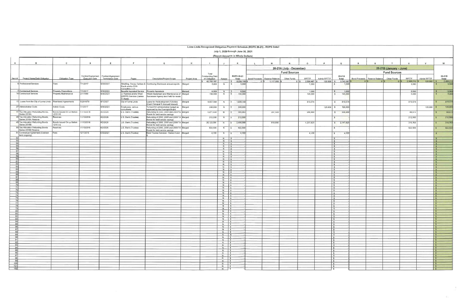#### Loma Linda Recognized Obligation Payment Schedule (ROPS 20-21) - ROPS Detail

|                                                                     |                                                            | Loma Linda Recognized Obligation Payment Schedule (ROPS 20-21) - ROPS Detail<br>July 1, 2020 through June 30, 2021 |                       |                                                             |                                                            |                                                                                   |              |                                   |                                    |                                          |              |                                 |                          |                         |              |                                        |                         |                                 |                     |                    |              |                                       |
|---------------------------------------------------------------------|------------------------------------------------------------|--------------------------------------------------------------------------------------------------------------------|-----------------------|-------------------------------------------------------------|------------------------------------------------------------|-----------------------------------------------------------------------------------|--------------|-----------------------------------|------------------------------------|------------------------------------------|--------------|---------------------------------|--------------------------|-------------------------|--------------|----------------------------------------|-------------------------|---------------------------------|---------------------|--------------------|--------------|---------------------------------------|
|                                                                     |                                                            |                                                                                                                    |                       |                                                             |                                                            |                                                                                   |              |                                   |                                    | (Report Amounts in Whole Dollars)        |              |                                 |                          |                         |              |                                        |                         |                                 |                     |                    |              |                                       |
| $\overline{A}$                                                      | $\mathbf{B}$                                               | $\mathbf{C}$                                                                                                       | $\mathsf{D}$          | E                                                           | $\mathbf{E}$                                               | G                                                                                 | H            |                                   | $\mathsf{J}$                       | K                                        | $\mathbf{L}$ | M                               | N                        | $\circ$                 |              | $\mathbf Q$                            | $\mathbb{R}$            |                                 |                     |                    |              | W                                     |
|                                                                     |                                                            |                                                                                                                    |                       |                                                             |                                                            |                                                                                   |              |                                   |                                    |                                          |              |                                 | 20-21A (July - December) |                         |              |                                        | 20-21B (January - June) |                                 |                     |                    |              |                                       |
|                                                                     |                                                            |                                                                                                                    |                       |                                                             |                                                            |                                                                                   |              | Total                             |                                    |                                          |              |                                 | <b>Fund Sources</b>      |                         |              |                                        |                         |                                 | <b>Fund Sources</b> |                    |              |                                       |
| Item#                                                               | Project Name/Debt Obligation                               | Obligation Type                                                                                                    | <b>Execution Date</b> | Contract/Agreement   Contract/Agreement<br>Termination Date | Payee                                                      | Description/Project Scope                                                         | Project Area | Outstanding Debt<br>or Obligation | Retired                            | ROPS 20-21<br>Total                      |              | Bond Proceeds   Reserve Balance | Other Funds              | RPTTF                   | Admin RPTTF  | 20-21A<br>Total                        |                         | Bond Proceeds   Reserve Balance | Other Funds         | RPTTF              | Admin RPTTF  | 20-21B<br>Total                       |
|                                                                     | 6 Professional Services                                    | Fees                                                                                                               | 7/1/2017              | 6/30/2021                                                   |                                                            | Stradling, Yocca, Carlson & Continuing Disclosure annual reports Merged           |              | 42,793,187<br>5,000               | N                                  | $$6,234,199$ \ \$<br>5,000<br>$\sqrt{S}$ |              | $0$   \$ 1.117,500   \$         | $0$ $ S$                 | $2,508,487$ \$<br>1,500 |              | 120,000 \$ 3,745,987<br>1,500<br>S.    |                         |                                 |                     | 2,368,212<br>3,500 | 120,000      | 2,488.21<br>3,500                     |
|                                                                     |                                                            |                                                                                                                    |                       |                                                             | Rauth and/or DHA<br>Consulting, LLC                        |                                                                                   |              |                                   |                                    |                                          |              |                                 |                          |                         |              |                                        |                         |                                 |                     |                    |              |                                       |
|                                                                     | Contractual Services                                       | <b>Property Dispositions</b>                                                                                       | 7/1/2017              | 6/30/2021                                                   | Benefiel Appraisal Service Property Appraisals             |                                                                                   | Merged       | 6,500                             | N                                  | 6,500<br>$\mathsf{S}$                    |              |                                 |                          | 1,000                   |              | 1,000<br>$  \mathsf{s}$                |                         |                                 |                     | 5.500              |              | $\frac{5,500}{5,000}$<br><sub>S</sub> |
|                                                                     | 14 Contractual Services                                    | <b>Property Maintenance</b>                                                                                        | 2/1/1989              | 6/30/2021                                                   | U Ramirez and/or West<br>SWPPS Services (James<br>D. Huss) | Need Abatement and Maintenance of Merged<br>Successor Agency land held for resale |              | 150,000                           | N                                  | 150,000<br>$\mathsf{s}$                  |              |                                 |                          | 145,000                 |              | 145,000<br>S                           |                         |                                 |                     | 5,000              |              |                                       |
|                                                                     | 15 Loans from the City of Loma Linda Reentered Agreements  |                                                                                                                    | 5/29/1979             | 6/1/2027                                                    | City of Loma Linda                                         | Loans for Redevelopment Activities<br>(Cash Principal & Accrued Interest)         | Merged       | 9,657,568                         | N.                                 | \$ 1,639,148                             |              |                                 |                          | 819,574                 |              | 819,574<br>$\mathsf{S}$                |                         |                                 |                     | 819,574            |              | 819,574                               |
|                                                                     | 27 Adminstrative Costs                                     | Admin Costs                                                                                                        | 7/1/2017              | 6/30/2021                                                   | Employees, various<br>consultants                          | To fund SA administrative budget as Merged<br>approved by the Oversight Board     |              | 240,000                           | N.                                 | 240,000<br>$\vert s \vert$               |              |                                 |                          |                         | $120,000$ \$ | 120,000                                |                         |                                 |                     |                    | $120,000$ \$ | 120,000                               |
|                                                                     | 47 Tax Allocation Refunding Bonds,<br>Series 2016A         | Bonds Issued On or Before<br>12/31/10                                                                              | 11/10/2016            | 8/2/2026                                                    | U.S. Bank (Trustee)                                        | Refunding of 2003, 2005 and 2008 TA Merged<br>Bonds for debt service savings      |              | 5,471,438                         | N                                  | 595,863<br>$\vert s \vert$               |              | 207,500                         |                          | 299,488                 |              | 506,988<br>$\mathbf{s}$                |                         |                                 |                     | 88,875             |              | 88,875                                |
|                                                                     | 48 Tax Allocation Refunding Bonds,<br>Series 2016A Reserve | Reserves                                                                                                           | 11/10/2016            | 8/2/2026                                                    | U.S. Bank (Trustee)                                        | Refunding of 2003, 2005 and 2008 TA Merged<br>Bonds for debt service savings      |              | 212,500                           | N <sub>1</sub>                     | 212,500                                  |              |                                 |                          |                         |              | $\mathbf{s}$                           |                         |                                 |                     | 212,500            |              | 212,50                                |
|                                                                     | 49 Tax Allocation Refunding Bonds<br>Series 2016B          | Bonds Issued On or Before<br>12/31/10                                                                              | 11/10/2016            | 8/2/2026                                                    | U.S. Bank (Trustee)                                        | Refunding of 2003, 2005 and 2008 TA Merged<br>Bonds for debt service savings      |              | 26,123,581                        |                                    | N \$ 2,458,588                           |              | 910,000                         |                          | 1,237,825               |              | \$2,147,825                            |                         |                                 |                     | 310,763            |              | 310,763                               |
|                                                                     | 50 Tax Allocation Refunding Bonds<br>Series 2016B Reserve  | Reserves                                                                                                           | 11/10/2016            | 8/2/2026                                                    | U.S. Bank (Trustee)                                        | Refunding of 2003, 2005 and 2008 TA Merged<br>Bonds for debt service savings      |              | 922,500                           | N                                  | 922,500<br>$\sqrt{3}$                    |              |                                 |                          |                         |              | $\mathbf{s}$                           |                         |                                 |                     | 922,500            |              | 922,50                                |
|                                                                     | 51 Contractual Agreement (Contract Fees<br>term ongoing)   |                                                                                                                    | 12/1/2016             | 6/30/2021                                                   | U.S. Bank (Trustee)                                        | Bond Trustee Services - Series A and Merged                                       |              | 4,100                             | N                                  | 4,100<br>$\sqrt{2}$                      |              |                                 |                          | 4,100                   |              | 4,100<br>$\mathbf{s}$                  |                         |                                 |                     |                    |              |                                       |
| 53                                                                  |                                                            |                                                                                                                    |                       |                                                             |                                                            |                                                                                   |              |                                   | $N$ $\Box$<br>$N$ $\sqrt{S}$       | $\mathbf{s}$                             |              |                                 |                          |                         |              | $\mathbf{s}$<br>$\mathbf{s}$           |                         |                                 |                     |                    |              |                                       |
| 54<br>55                                                            |                                                            |                                                                                                                    |                       |                                                             |                                                            |                                                                                   |              |                                   | $N \mid S$                         |                                          |              |                                 |                          |                         |              | <b>S</b>                               |                         |                                 |                     |                    |              |                                       |
| 56                                                                  |                                                            |                                                                                                                    |                       |                                                             |                                                            |                                                                                   |              |                                   | $N$ $S$<br>$N$ $S$                 |                                          |              |                                 |                          |                         |              | $\sqrt{2}$<br>$\vert s \vert$          |                         |                                 |                     |                    |              | $\tilde{\mathbf{r}}$                  |
| 57<br>58                                                            |                                                            |                                                                                                                    |                       |                                                             |                                                            |                                                                                   |              |                                   | $N \mid S$<br>N   \$               |                                          |              |                                 |                          |                         |              | Is.<br>is.                             |                         |                                 |                     |                    |              | - 8                                   |
| 59<br>60                                                            |                                                            |                                                                                                                    |                       |                                                             |                                                            |                                                                                   |              |                                   | $N \mid$ \$<br>$N$ $\sqrt{S}$      |                                          |              |                                 |                          |                         |              | is.                                    |                         |                                 |                     |                    |              | $\mathcal{S}$<br>$\sim$               |
| 61                                                                  |                                                            |                                                                                                                    |                       |                                                             |                                                            |                                                                                   |              |                                   | $N$ \$                             |                                          |              |                                 |                          |                         |              | Is.<br>$\mathbf{s}$                    |                         |                                 |                     |                    |              |                                       |
| 62<br>63                                                            |                                                            |                                                                                                                    |                       |                                                             |                                                            |                                                                                   |              |                                   | $N \mid S$<br>$N \mid S$           |                                          |              |                                 |                          |                         |              | $\sqrt{2}$<br>$\frac{1}{3}$            |                         |                                 |                     |                    |              |                                       |
| 64<br>65                                                            |                                                            |                                                                                                                    |                       |                                                             |                                                            |                                                                                   |              |                                   | $N$ $\sqrt{S}$<br>N   \$           |                                          |              |                                 |                          |                         |              | Is.                                    |                         |                                 |                     |                    |              |                                       |
| 66                                                                  |                                                            |                                                                                                                    |                       |                                                             |                                                            |                                                                                   |              |                                   | $N \mid S$                         |                                          |              |                                 |                          |                         |              | I S<br>Is                              |                         |                                 |                     |                    |              |                                       |
| 67<br>68                                                            |                                                            |                                                                                                                    |                       |                                                             |                                                            |                                                                                   |              |                                   | $N$ $\sqrt{S}$<br>$N$   $\sqrt{3}$ |                                          |              |                                 |                          |                         |              | $\overline{\phantom{a}}$<br>Is.        |                         |                                 |                     |                    |              | $\sim$                                |
| 69<br>70                                                            |                                                            |                                                                                                                    |                       |                                                             |                                                            |                                                                                   |              |                                   | $N \mid$ \$<br>$N \mid S$          |                                          |              |                                 |                          |                         |              | $\vert$ s<br>$\sqrt{s}$                |                         |                                 |                     |                    |              | $\mathbf{s}$                          |
| 71                                                                  |                                                            |                                                                                                                    |                       |                                                             |                                                            |                                                                                   |              |                                   | $N$ $S$                            |                                          |              |                                 |                          |                         |              | Is                                     |                         |                                 |                     |                    |              | $\sim$                                |
| $\overline{72}$<br>73                                               |                                                            |                                                                                                                    |                       |                                                             |                                                            |                                                                                   |              |                                   | $N \mid S$<br>$N$ $\sqrt{S}$       |                                          |              |                                 |                          |                         |              | $\sqrt{5}$<br>Is.                      |                         |                                 |                     |                    |              | <b>S</b><br>IS.                       |
| 74<br>75                                                            |                                                            |                                                                                                                    |                       |                                                             |                                                            |                                                                                   |              |                                   | $N$ $\sqrt{3}$<br>$N$ $\sqrt{S}$   |                                          |              |                                 |                          |                         |              | $\sqrt{s}$<br>$\frac{1}{3}$            |                         |                                 |                     |                    |              | $\mathsf{s}$<br>$\sim$                |
| 76                                                                  |                                                            |                                                                                                                    |                       |                                                             |                                                            |                                                                                   |              |                                   | $N \mid S$                         |                                          |              |                                 |                          |                         |              | $\sqrt{5}$                             |                         |                                 |                     |                    |              | ΙS                                    |
| 77<br>78                                                            |                                                            |                                                                                                                    |                       |                                                             |                                                            |                                                                                   |              |                                   | $N \mid S$<br>$N$ $\sqrt{s}$       |                                          |              |                                 |                          |                         |              | IS.<br>$\mathbf{s}$                    |                         |                                 |                     |                    |              | $\sim$<br>l s                         |
| 79<br>80                                                            |                                                            |                                                                                                                    |                       |                                                             |                                                            |                                                                                   |              |                                   | N \$<br>$N \mid S$                 |                                          |              |                                 |                          |                         |              | $5^{\circ}$<br>$\mathsf{s}$            |                         |                                 |                     |                    |              | IS.<br>Is.                            |
| 81                                                                  |                                                            |                                                                                                                    |                       |                                                             |                                                            |                                                                                   |              |                                   | $N$ $S$                            |                                          |              |                                 |                          |                         |              | $\sqrt{2}$                             |                         |                                 |                     |                    |              | $\overline{\phantom{a}}$              |
| 82<br>83                                                            |                                                            |                                                                                                                    |                       |                                                             |                                                            |                                                                                   |              |                                   | $N \mid S$                         |                                          |              |                                 |                          |                         |              | $\mathbb{S}$<br>$\sqrt{S}$             |                         |                                 |                     |                    |              | $\mathbf{S}$<br>$\sqrt{2}$            |
| $\begin{array}{c c}\n84 \\ 85\n\end{array}$                         |                                                            |                                                                                                                    |                       |                                                             |                                                            |                                                                                   |              |                                   | $N$ \$<br>$N \mid S$               |                                          |              |                                 |                          |                         |              | $\mathsf{S}$<br>Is.                    |                         |                                 |                     |                    |              | $\frac{s}{s}$                         |
| 86                                                                  |                                                            |                                                                                                                    |                       |                                                             |                                                            |                                                                                   |              |                                   | $N \mid S$                         |                                          |              |                                 |                          |                         |              | $\sqrt{3}$                             |                         |                                 |                     |                    |              | $\sqrt{S}$                            |
| 87<br>88                                                            |                                                            |                                                                                                                    |                       |                                                             |                                                            |                                                                                   |              |                                   | $N$ $\sqrt{S}$<br>$N$ $\sqrt{s}$   |                                          |              |                                 |                          |                         |              | $\sqrt{s}$<br>5                        |                         |                                 |                     |                    |              | $\vert s$<br>$\sqrt{s}$               |
| 89                                                                  |                                                            |                                                                                                                    |                       |                                                             |                                                            |                                                                                   |              |                                   | $N$ 5                              |                                          |              |                                 |                          |                         |              | $\sqrt{5}$                             |                         |                                 |                     |                    |              | $\vert$ s                             |
| 90<br>91                                                            |                                                            |                                                                                                                    |                       |                                                             |                                                            |                                                                                   |              |                                   | $N \mid S$<br>$N = 5$              |                                          |              |                                 |                          |                         |              | $\sqrt{2}$<br>$\sqrt{2}$               |                         |                                 |                     |                    |              | $\sqrt{S}$<br>$\sqrt{s}$              |
| 92<br>93                                                            |                                                            |                                                                                                                    |                       |                                                             |                                                            |                                                                                   |              |                                   | $N$ \$<br>$N$ $S$                  |                                          |              |                                 |                          |                         |              | $\sqrt{2}$<br>S                        |                         |                                 |                     |                    |              | $\sqrt{5}$<br>5 <sup>5</sup>          |
| 94                                                                  |                                                            |                                                                                                                    |                       |                                                             |                                                            |                                                                                   |              |                                   | $N$ $\sqrt{3}$<br>$N$ $S$          |                                          |              |                                 |                          |                         |              | $\sqrt{3}$<br>$\sqrt{s}$               |                         |                                 |                     |                    |              | $\sqrt{s}$                            |
| $\frac{95}{96}$                                                     |                                                            |                                                                                                                    |                       |                                                             |                                                            |                                                                                   |              |                                   | $N \mid S$                         |                                          |              |                                 |                          |                         |              | $\sqrt{S}$                             |                         |                                 |                     |                    |              | $\sqrt{5}$<br>$\sqrt{2}$              |
|                                                                     |                                                            |                                                                                                                    |                       |                                                             |                                                            |                                                                                   |              |                                   | $N$ $\sqrt{S}$<br>$N$ \$           |                                          |              |                                 |                          |                         |              | $\sqrt{5}$<br>$\sqrt{s}$               |                         |                                 |                     |                    |              | $\sqrt{s}$<br>$\sqrt{2}$              |
| $\begin{array}{r} \hline 98 \\ \hline 99 \\ \hline 100 \end{array}$ |                                                            |                                                                                                                    |                       |                                                             |                                                            |                                                                                   |              |                                   | $N$   \$                           |                                          |              |                                 |                          |                         |              | $\sqrt{S}$                             |                         |                                 |                     |                    |              | $\sqrt{S}$                            |
| $\frac{101}{102}$                                                   |                                                            |                                                                                                                    |                       |                                                             |                                                            |                                                                                   |              |                                   | $N =$ $\sqrt{S}$<br>$N$ \$         |                                          |              |                                 |                          |                         |              | $\sqrt{5}$<br>$\overline{\phantom{a}}$ |                         |                                 |                     |                    |              | $\sqrt{5}$<br>$\vert s \vert$         |
|                                                                     |                                                            |                                                                                                                    |                       |                                                             |                                                            |                                                                                   |              |                                   | $N$ $\sqrt{S}$                     |                                          |              |                                 |                          |                         |              | $\mathbf{s}$                           |                         |                                 |                     |                    |              | $\vert s \vert$                       |

dia.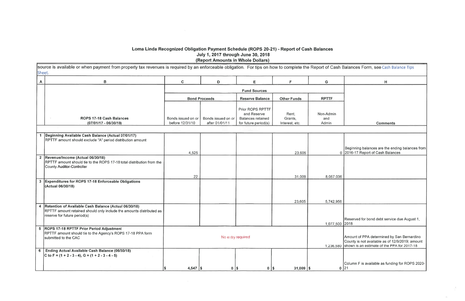### Loma Linda Recognized Obligation Payment Schedule (ROPS 20-21) - Report of Cash Balances July 1, 2017 through June 30, 2018 (Report Amounts in Whole Dollars)

source is available or when payment from property tax revenues is required by an enforceable obligation. For tips on how to complete the Report of Cash **Sheet** 

|                | UNCCL.                                                                                                                                                        |                                       |                                      |                                                                                     |                                    |                           |
|----------------|---------------------------------------------------------------------------------------------------------------------------------------------------------------|---------------------------------------|--------------------------------------|-------------------------------------------------------------------------------------|------------------------------------|---------------------------|
| $\mathsf{A}$   | $\, {\bf B}$                                                                                                                                                  | $\mathbf C$                           | D                                    | E                                                                                   | F                                  | G                         |
|                |                                                                                                                                                               |                                       |                                      | <b>Fund Sources</b>                                                                 |                                    |                           |
|                |                                                                                                                                                               |                                       | <b>Bond Proceeds</b>                 | <b>Reserve Balance</b>                                                              | <b>Other Funds</b>                 | <b>RPTTF</b>              |
|                | ROPS 17-18 Cash Balances<br>(07/01/17 - 06/30/18)                                                                                                             | Bonds issued on or<br>before 12/31/10 | Bonds issued on or<br>after 01/01/11 | Prior ROPS RPTTF<br>and Reserve<br><b>Balances retained</b><br>for future period(s) | Rent,<br>Grants,<br>Interest, etc. | Non-Admin<br>and<br>Admin |
|                |                                                                                                                                                               |                                       |                                      |                                                                                     |                                    |                           |
|                | 1 Beginning Available Cash Balance (Actual 07/01/17)<br>RPTTF amount should exclude "A" period distribution amount                                            |                                       |                                      |                                                                                     |                                    |                           |
|                |                                                                                                                                                               | 4,525                                 |                                      |                                                                                     | 23,605                             | $\Omega$                  |
| $\overline{2}$ | Revenue/Income (Actual 06/30/18)<br>RPTTF amount should tie to the ROPS 17-18 total distribution from the<br>County Auditor-Controller                        |                                       |                                      |                                                                                     |                                    |                           |
|                |                                                                                                                                                               | 22                                    |                                      |                                                                                     | 31,009                             | 8,057,036                 |
|                | 3 Expenditures for ROPS 17-18 Enforceable Obligations<br>(Actual 06/30/18)                                                                                    |                                       |                                      |                                                                                     | 23,605                             | 5,742,956                 |
| 4              | Retention of Available Cash Balance (Actual 06/30/18)<br>RPTTF amount retained should only include the amounts distributed as<br>reserve for future period(s) |                                       |                                      |                                                                                     |                                    |                           |
|                | 5 ROPS 17-18 RPTTF Prior Period Adjustment<br>RPTTF amount should tie to the Agency's ROPS 17-18 PPA form<br>submitted to the CAC                             |                                       | No entry required                    |                                                                                     |                                    | 1,077,500                 |
|                | 6 Ending Actual Available Cash Balance (06/30/18)                                                                                                             |                                       |                                      |                                                                                     |                                    | 1,236,580                 |
|                | C to F = $(1 + 2 - 3 - 4)$ , G = $(1 + 2 - 3 - 4 - 5)$                                                                                                        |                                       |                                      |                                                                                     |                                    |                           |
|                |                                                                                                                                                               | 4,547 $\frac{1}{3}$<br>S              | $0$   \$                             | $0$   \$                                                                            | $31,009$ \\$                       | $\bf{0}$                  |

| Balances Form, see Cash Balance Tips                                                                                                         |
|----------------------------------------------------------------------------------------------------------------------------------------------|
| н                                                                                                                                            |
|                                                                                                                                              |
|                                                                                                                                              |
|                                                                                                                                              |
| Comments                                                                                                                                     |
|                                                                                                                                              |
|                                                                                                                                              |
| Beginning balances are the ending balances from<br>2016-17 Report of Cash Balances                                                           |
|                                                                                                                                              |
|                                                                                                                                              |
|                                                                                                                                              |
|                                                                                                                                              |
|                                                                                                                                              |
| Reserved for bond debt service due August 1,<br>2018                                                                                         |
| Amount of PPA determined by San Bernardino<br>County is not available as of 12/9/2019; amount<br>shown is an estimate of the PPA for 2017-18 |
| Column F is available as funding for ROPS 2020-<br>21                                                                                        |

 $\mathcal{N}_{\rm{c}}$ 

 $\sim$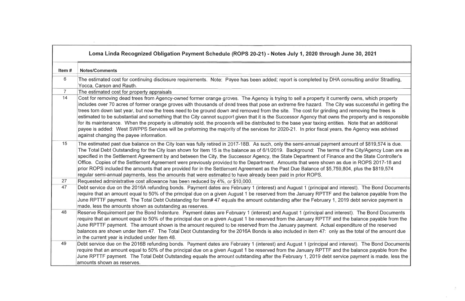|                | Loma Linda Recognized Obligation Payment Schedule (ROPS 20-21) - Notes July 1, 2020 through .                                                                                                                                                                                                                                                                                                                                                                                                                                                                                                                                                                                                                                                                                                              |
|----------------|------------------------------------------------------------------------------------------------------------------------------------------------------------------------------------------------------------------------------------------------------------------------------------------------------------------------------------------------------------------------------------------------------------------------------------------------------------------------------------------------------------------------------------------------------------------------------------------------------------------------------------------------------------------------------------------------------------------------------------------------------------------------------------------------------------|
| Item#          | <b>Notes/Comments</b>                                                                                                                                                                                                                                                                                                                                                                                                                                                                                                                                                                                                                                                                                                                                                                                      |
| 6              | The estimated cost for continuing disclosure requirements. Note: Payee has been added; report is completed by DHA o<br>Yocca, Carson and Rauth.                                                                                                                                                                                                                                                                                                                                                                                                                                                                                                                                                                                                                                                            |
| $\overline{7}$ | The estimated cost for property appraisals                                                                                                                                                                                                                                                                                                                                                                                                                                                                                                                                                                                                                                                                                                                                                                 |
| 14             | Cost for removing dead trees from Agency-owned former orange groves. The Agency is trying to sell a property it curre<br>includes over 70 acres of former orange groves with thousands of dead trees that pose an extreme fire hazard. The City<br>trees torn down last year, but now the trees need to be ground down and removed from the site. The cost for grinding a<br>estimated to be substantial and something that the City cannot support given that it is the Successor Agency that owns t<br>for its maintenance. When the property is ultimately sold, the proceeds will be distributed to the base year taxing entities<br>payee is added: West SWPPS Services will be preforming the majority of the services for 2020-21. In prior fiscal years<br>against changing the payee information. |
| 15             | The estimated past due balance on the City loan was fully retired in 2017-18B. As such, only the semi-annual payment a<br>The Total Debt Outstanding for the City loan shown for Item 15 is the balance as of 6/1/2019. Background: The terms o<br>specified in the Settlement Agreement by and between the City, the Successor Agency, the State Department of Finance<br>Office. Copies of the Settlement Agreement were previously provided to the Department. Amounts that were shown as<br>prior ROPS included the amounts that are provided for in the Settlement Agreement as the Past Due Balance of \$5,759,<br>regular semi-annual payments, less the amounts that were estimated to have already been paid in prior ROPS.                                                                       |
| 27             | Requested administrative cost allowance has been reduced by 4%, or \$10,000.                                                                                                                                                                                                                                                                                                                                                                                                                                                                                                                                                                                                                                                                                                                               |
| 47             | Debt service due on the 2016A refunding bonds. Payment dates are February 1 (interest) and August 1 (principal and in<br>require that an amount equal to 50% of the principal due on a given August 1 be reserved from the January RPTTF and<br>June RPTTF payment. The Total Debt Outstanding for Item# 47 equals the amount outstanding after the February 1, 20<br>made, less the amounts shown as outstanding as reserves.                                                                                                                                                                                                                                                                                                                                                                             |
| 48             | Reserve Requirement per the Bond Indenture. Payment dates are February 1 (interest) and August 1 (principal and inte<br>require that an amount equal to 50% of the principal due on a given August 1 be reserved from the January RPTTF and<br>June RPTTF payment. The amount shown is the amount required to be reserved from the January payment. Actual exp<br>balances are shown under Item 47. The Total Debt Outstanding for the 2016A Bonds is also included in item 47: only a<br>in the current year is included under Item 48.                                                                                                                                                                                                                                                                   |
| 49             | Debt service due on the 2016B refunding bonds. Payment dates are February 1 (interest) and August 1 (principal and in<br>require that an amount equal to 50% of the principal due on a given August 1 be reserved from the January RPTTF and<br>June RPTTF payment. The Total Debt Outstanding equals the amount outstanding after the February 1, 2019 debt serv<br>amounts shown as reserves.                                                                                                                                                                                                                                                                                                                                                                                                            |

## June 30, 2021

consulting and/or Stradling,

intly owns, which property ty was successful in getting the and removing the trees is the property and is responsible s. Note that an additional the Agency was advised

amount of \$819,574 is due. of the City/Agency Loan are as ce and the State Controller's due in ROPS 2017-18 and ,804, plus the \$819,574

nterest). The Bond Documents the balance payable from the 019 debt service payment is

erest). The Bond Documents the balance payable from the penditure of the reserved as the total of the amount due

**nterest). The Bond Documents** the balance payable from the vice payment is made, less the